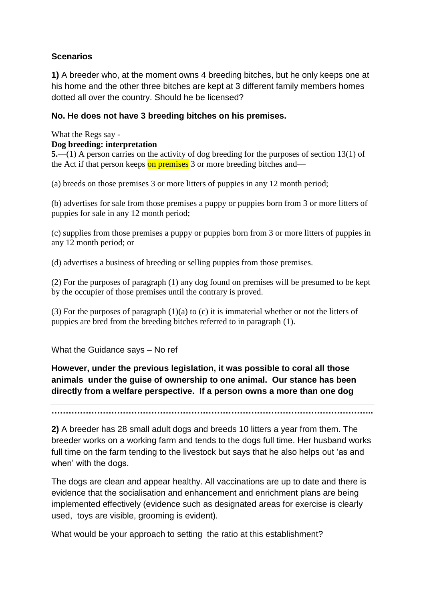# **Scenarios**

**1)** A breeder who, at the moment owns 4 breeding bitches, but he only keeps one at his home and the other three bitches are kept at 3 different family members homes dotted all over the country. Should he be licensed?

## **No. He does not have 3 breeding bitches on his premises.**

What the Regs say -

## **Dog breeding: interpretation**

**5.**—(1) A person carries on the activity of dog breeding for the purposes of section 13(1) of the Act if that person keeps on premises 3 or more breeding bitches and—

(a) breeds on those premises 3 or more litters of puppies in any 12 month period;

(b) advertises for sale from those premises a puppy or puppies born from 3 or more litters of puppies for sale in any 12 month period;

(c) supplies from those premises a puppy or puppies born from 3 or more litters of puppies in any 12 month period; or

(d) advertises a business of breeding or selling puppies from those premises.

(2) For the purposes of paragraph (1) any dog found on premises will be presumed to be kept by the occupier of those premises until the contrary is proved.

(3) For the purposes of paragraph (1)(a) to (c) it is immaterial whether or not the litters of puppies are bred from the breeding bitches referred to in paragraph (1).

What the Guidance says – No ref

**However, under the previous legislation, it was possible to coral all those animals under the guise of ownership to one animal. Our stance has been directly from a welfare perspective. If a person owns a more than one dog** 

**…………………………………………………………………………………………………..**

**2)** A breeder has 28 small adult dogs and breeds 10 litters a year from them. The breeder works on a working farm and tends to the dogs full time. Her husband works full time on the farm tending to the livestock but says that he also helps out 'as and when' with the dogs.

The dogs are clean and appear healthy. All vaccinations are up to date and there is evidence that the socialisation and enhancement and enrichment plans are being implemented effectively (evidence such as designated areas for exercise is clearly used, toys are visible, grooming is evident).

What would be your approach to setting the ratio at this establishment?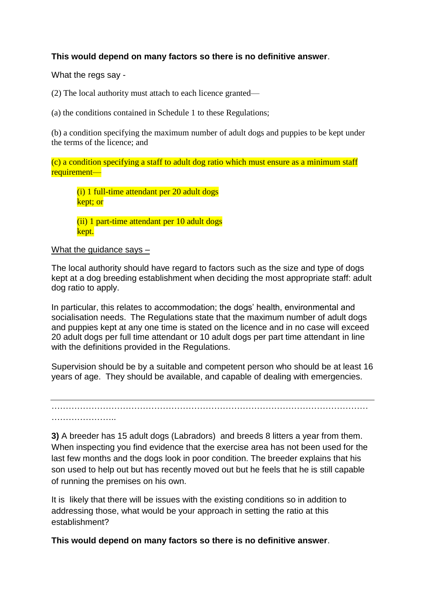## **This would depend on many factors so there is no definitive answer**.

What the regs say -

(2) The local authority must attach to each licence granted—

(a) the conditions contained in Schedule 1 to these Regulations;

(b) a condition specifying the maximum number of adult dogs and puppies to be kept under the terms of the licence; and

(c) a condition specifying a staff to adult dog ratio which must ensure as a minimum staff requirement—

(i) 1 full-time attendant per 20 adult dogs kept; or

(ii) 1 part-time attendant per 10 adult dogs kept.

#### What the guidance says –

The local authority should have regard to factors such as the size and type of dogs kept at a dog breeding establishment when deciding the most appropriate staff: adult dog ratio to apply.

In particular, this relates to accommodation; the dogs' health, environmental and socialisation needs. The Regulations state that the maximum number of adult dogs and puppies kept at any one time is stated on the licence and in no case will exceed 20 adult dogs per full time attendant or 10 adult dogs per part time attendant in line with the definitions provided in the Regulations.

Supervision should be by a suitable and competent person who should be at least 16 years of age. They should be available, and capable of dealing with emergencies.

………………………………………………………………………………………………… …………………………

**3)** A breeder has 15 adult dogs (Labradors) and breeds 8 litters a year from them. When inspecting you find evidence that the exercise area has not been used for the last few months and the dogs look in poor condition. The breeder explains that his son used to help out but has recently moved out but he feels that he is still capable of running the premises on his own.

It is likely that there will be issues with the existing conditions so in addition to addressing those, what would be your approach in setting the ratio at this establishment?

**This would depend on many factors so there is no definitive answer**.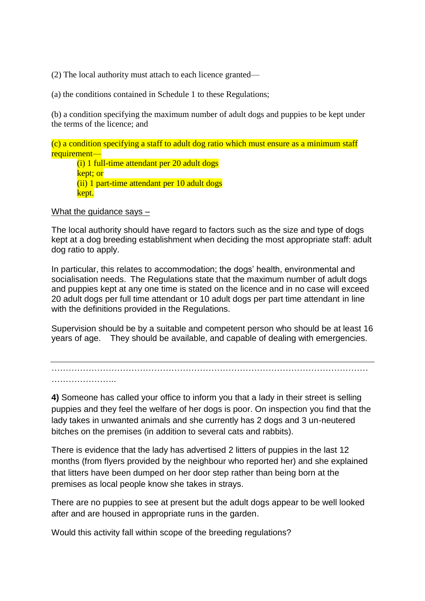(2) The local authority must attach to each licence granted—

(a) the conditions contained in Schedule 1 to these Regulations;

(b) a condition specifying the maximum number of adult dogs and puppies to be kept under the terms of the licence; and

(c) a condition specifying a staff to adult dog ratio which must ensure as a minimum staff requirement—

(i) 1 full-time attendant per 20 adult dogs kept; or (ii) 1 part-time attendant per 10 adult dogs kept.

What the guidance says –

The local authority should have regard to factors such as the size and type of dogs kept at a dog breeding establishment when deciding the most appropriate staff: adult dog ratio to apply.

In particular, this relates to accommodation; the dogs' health, environmental and socialisation needs. The Regulations state that the maximum number of adult dogs and puppies kept at any one time is stated on the licence and in no case will exceed 20 adult dogs per full time attendant or 10 adult dogs per part time attendant in line with the definitions provided in the Regulations.

Supervision should be by a suitable and competent person who should be at least 16 years of age. They should be available, and capable of dealing with emergencies.

………………………………………………………………………………………………… …………………..

**4)** Someone has called your office to inform you that a lady in their street is selling puppies and they feel the welfare of her dogs is poor. On inspection you find that the lady takes in unwanted animals and she currently has 2 dogs and 3 un-neutered bitches on the premises (in addition to several cats and rabbits).

There is evidence that the lady has advertised 2 litters of puppies in the last 12 months (from flyers provided by the neighbour who reported her) and she explained that litters have been dumped on her door step rather than being born at the premises as local people know she takes in strays.

There are no puppies to see at present but the adult dogs appear to be well looked after and are housed in appropriate runs in the garden.

Would this activity fall within scope of the breeding regulations?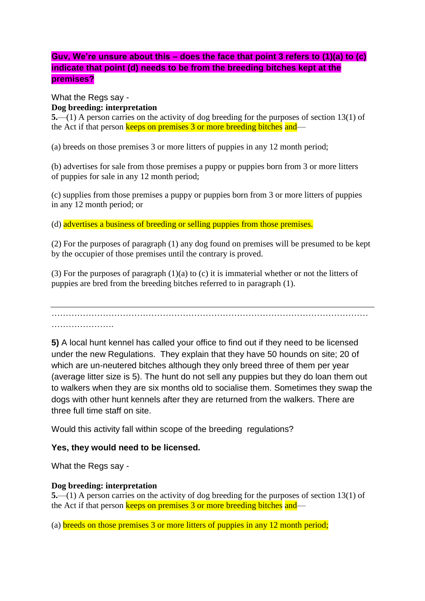# **Guv, We're unsure about this – does the face that point 3 refers to (1)(a) to (c) indicate that point (d) needs to be from the breeding bitches kept at the premises?**

## What the Regs say - **Dog breeding: interpretation**

**5.**—(1) A person carries on the activity of dog breeding for the purposes of section 13(1) of the Act if that person keeps on premises 3 or more breeding bitches and—

(a) breeds on those premises 3 or more litters of puppies in any 12 month period;

(b) advertises for sale from those premises a puppy or puppies born from 3 or more litters of puppies for sale in any 12 month period;

(c) supplies from those premises a puppy or puppies born from 3 or more litters of puppies in any 12 month period; or

(d) advertises a business of breeding or selling puppies from those premises.

(2) For the purposes of paragraph (1) any dog found on premises will be presumed to be kept by the occupier of those premises until the contrary is proved.

(3) For the purposes of paragraph (1)(a) to (c) it is immaterial whether or not the litters of puppies are bred from the breeding bitches referred to in paragraph (1).

………………………………………………………………………………………………… ………………….

**5)** A local hunt kennel has called your office to find out if they need to be licensed under the new Regulations. They explain that they have 50 hounds on site; 20 of which are un-neutered bitches although they only breed three of them per year (average litter size is 5). The hunt do not sell any puppies but they do loan them out to walkers when they are six months old to socialise them. Sometimes they swap the dogs with other hunt kennels after they are returned from the walkers. There are three full time staff on site.

Would this activity fall within scope of the breeding regulations?

## **Yes, they would need to be licensed.**

What the Regs say -

### **Dog breeding: interpretation**

**5.**—(1) A person carries on the activity of dog breeding for the purposes of section 13(1) of the Act if that person keeps on premises 3 or more breeding bitches and—

(a) breeds on those premises 3 or more litters of puppies in any 12 month period;